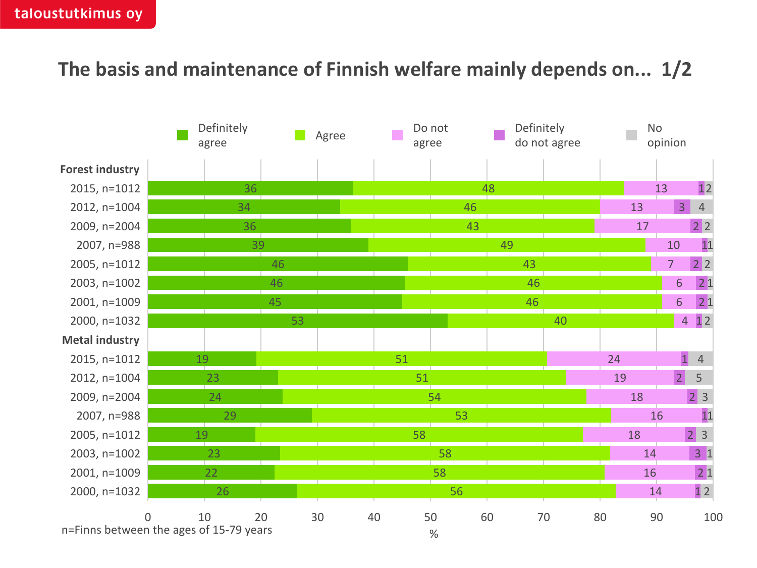## **The basis and maintenance of Finnish welfare mainly depends on... 1/2**